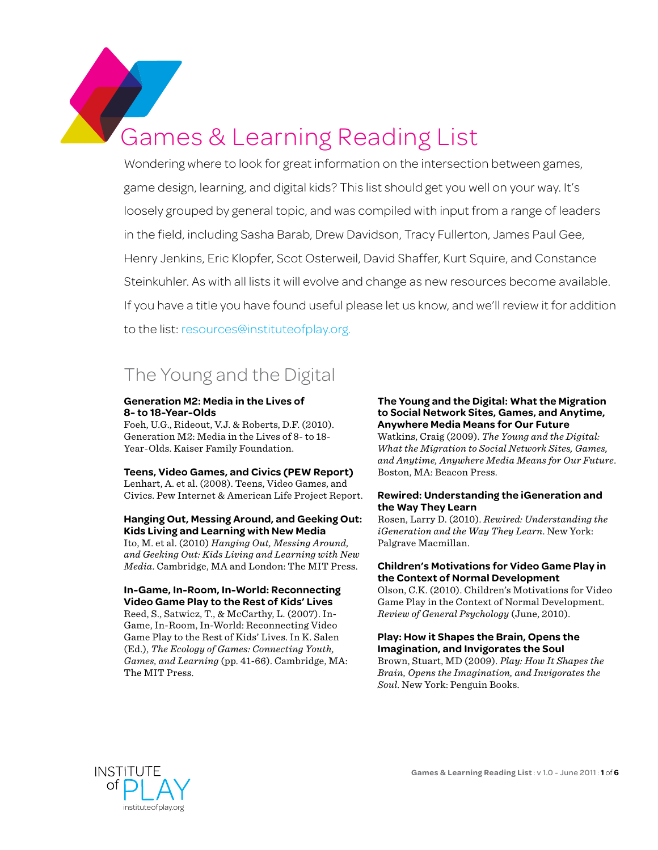Games & Learning Reading List

Wondering where to look for great information on the intersection between games, game design, learning, and digital kids? This list should get you well on your way. It's loosely grouped by general topic, and was compiled with input from a range of leaders in the field, including Sasha Barab, Drew Davidson, Tracy Fullerton, James Paul Gee, Henry Jenkins, Eric Klopfer, Scot Osterweil, David Shaffer, Kurt Squire, and Constance Steinkuhler. As with all lists it will evolve and change as new resources become available. If you have a title you have found useful please let us know, and we'll review it for addition to the list: [resources@instituteofplay.org](mailto:resources%40instituteofplay.org?subject=Suggestion%20for%20Games%20%26%20Learning%20Reading%20List).

# The Young and the Digital

#### **Generation M2: Media in the Lives of 8- to 18-Year-Olds**

Foeh, U.G., Rideout, V.J. & Roberts, D.F. (2010). Generation M2: Media in the Lives of 8- to 18- Year-Olds. Kaiser Family Foundation.

## **Teens, Video Games, and Civics (PEW Report)**

Lenhart, A. et al. (2008). Teens, Video Games, and Civics. Pew Internet & American Life Project Report.

#### **Hanging Out, Messing Around, and Geeking Out: Kids Living and Learning with New Media**

Ito, M. et al. (2010) *Hanging Out, Messing Around, and Geeking Out: Kids Living and Learning with New Media*. Cambridge, MA and London: The MIT Press.

## **In-Game, In-Room, In-World: Reconnecting Video Game Play to the Rest of Kids' Lives**

Reed, S., Satwicz, T., & McCarthy, L. (2007). In-Game, In-Room, In-World: Reconnecting Video Game Play to the Rest of Kids' Lives. In K. Salen (Ed.), *The Ecology of Games: Connecting Youth, Games, and Learning* (pp. 41-66). Cambridge, MA: The MIT Press.

#### **The Young and the Digital: What the Migration to Social Network Sites, Games, and Anytime, Anywhere Media Means for Our Future**

Watkins, Craig (2009). *The Young and the Digital: What the Migration to Social Network Sites, Games, and Anytime, Anywhere Media Means for Our Future*. Boston, MA: Beacon Press.

#### **Rewired: Understanding the iGeneration and the Way They Learn**

Rosen, Larry D. (2010). *Rewired: Understanding the iGeneration and the Way They Learn*. New York: Palgrave Macmillan.

#### **Children's Motivations for Video Game Play in the Context of Normal Development**

Olson, C.K. (2010). Children's Motivations for Video Game Play in the Context of Normal Development. *Review of General Psychology* (June, 2010).

#### **Play: How it Shapes the Brain, Opens the Imagination, and Invigorates the Soul**

Brown, Stuart, MD (2009). *Play: How It Shapes the Brain, Opens the Imagination, and Invigorates the Soul*. New York: Penguin Books.

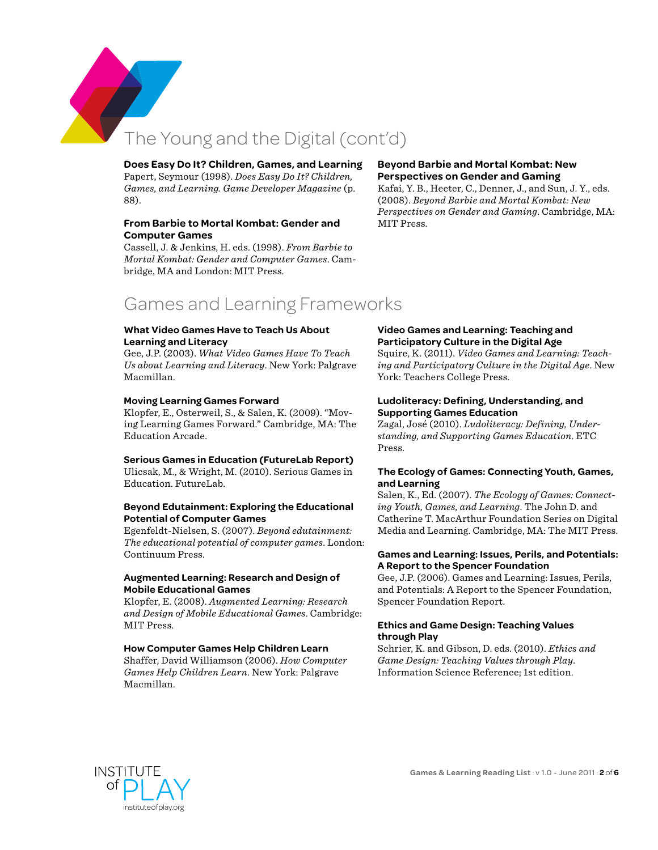

# The Young and the Digital (cont'd)

#### **Does Easy Do It? Children, Games, and Learning**

Papert, Seymour (1998). *Does Easy Do It? Children, Games, and Learning. Game Developer Magazine* (p. 88).

#### **From Barbie to Mortal Kombat: Gender and Computer Games**

Cassell, J. & Jenkins, H. eds. (1998). *From Barbie to Mortal Kombat: Gender and Computer Games*. Cambridge, MA and London: MIT Press.

#### **Beyond Barbie and Mortal Kombat: New Perspectives on Gender and Gaming**

Kafai, Y. B., Heeter, C., Denner, J., and Sun, J. Y., eds. (2008). *Beyond Barbie and Mortal Kombat: New Perspectives on Gender and Gaming*. Cambridge, MA: MIT Press.

## Games and Learning Frameworks

#### **What Video Games Have to Teach Us About Learning and Literacy**

Gee, J.P. (2003). *What Video Games Have To Teach Us about Learning and Literacy*. New York: Palgrave Macmillan.

#### **Moving Learning Games Forward**

Klopfer, E., Osterweil, S., & Salen, K. (2009). "Moving Learning Games Forward." Cambridge, MA: The Education Arcade.

#### **Serious Games in Education (FutureLab Report)**

Ulicsak, M., & Wright, M. (2010). Serious Games in Education. FutureLab.

#### **Beyond Edutainment: Exploring the Educational Potential of Computer Games**

Egenfeldt-Nielsen, S. (2007). *Beyond edutainment: The educational potential of computer games*. London: Continuum Press.

#### **Augmented Learning: Research and Design of Mobile Educational Games**

Klopfer, E. (2008). *Augmented Learning: Research and Design of Mobile Educational Games*. Cambridge: MIT Press.

#### **How Computer Games Help Children Learn**

Shaffer, David Williamson (2006). *How Computer Games Help Children Learn*. New York: Palgrave Macmillan.

#### **Video Games and Learning: Teaching and Participatory Culture in the Digital Age**

Squire, K. (2011). *Video Games and Learning: Teaching and Participatory Culture in the Digital Age*. New York: Teachers College Press.

#### **Ludoliteracy: Defining, Understanding, and Supporting Games Education**

Zagal, José (2010). *Ludoliteracy: Defining, Understanding, and Supporting Games Education*. ETC Press.

#### **The Ecology of Games: Connecting Youth, Games, and Learning**

Salen, K., Ed. (2007). *The Ecology of Games: Connecting Youth, Games, and Learning*. The John D. and Catherine T. MacArthur Foundation Series on Digital Media and Learning. Cambridge, MA: The MIT Press.

#### **Games and Learning: Issues, Perils, and Potentials: A Report to the Spencer Foundation**

Gee, J.P. (2006). Games and Learning: Issues, Perils, and Potentials: A Report to the Spencer Foundation, Spencer Foundation Report.

#### **Ethics and Game Design: Teaching Values through Play**

Schrier, K. and Gibson, D. eds. (2010). *Ethics and Game Design: Teaching Values through Play*. Information Science Reference; 1st edition.

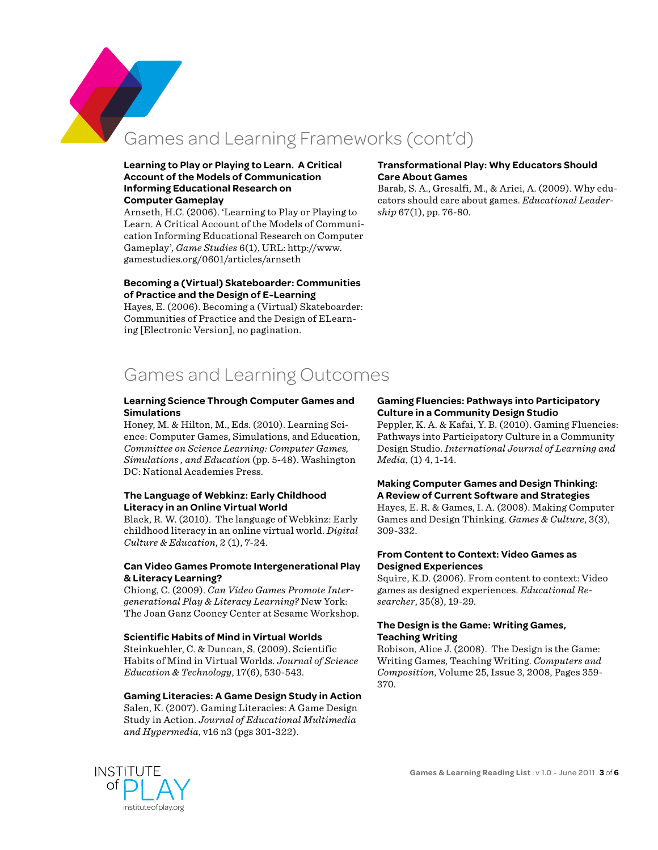Games and Learning Frameworks (cont'd)

#### **Learning to Play or Playing to Learn. A Critical Account of the Models of Communication Informing Educational Research on Computer Gameplay**

Arnseth, H.C. (2006). 'Learning to Play or Playing to Learn. A Critical Account of the Models of Communication Informing Educational Research on Computer Gameplay', *Game Studies* 6(1), URL: [http://www.](http://www.gamestudies.org/0601/articles/arnseth) [gamestudies.org/0601/articles/arnseth](http://www.gamestudies.org/0601/articles/arnseth)

#### **Becoming a (Virtual) Skateboarder: Communities of Practice and the Design of E-Learning**

Hayes, E. (2006). Becoming a (Virtual) Skateboarder: Communities of Practice and the Design of ELearning [Electronic Version], no pagination.

# Games and Learning Outcomes

#### **Learning Science Through Computer Games and Simulations**

Honey, M. & Hilton, M., Eds. (2010). Learning Science: Computer Games, Simulations, and Education, *Committee on Science Learning: Computer Games, Simulations , and Education* (pp. 5-48). Washington DC: National Academies Press.

#### **The Language of Webkinz: Early Childhood Literacy in an Online Virtual World**

Black, R. W. (2010). The language of Webkinz: Early childhood literacy in an online virtual world. *Digital Culture & Education*, 2 (1), 7-24.

#### **Can Video Games Promote Intergenerational Play & Literacy Learning?**

Chiong, C. (2009). *Can Video Games Promote Intergenerational Play & Literacy Learning?* New York: The Joan Ganz Cooney Center at Sesame Workshop.

#### **Scientific Habits of Mind in Virtual Worlds**

Steinkuehler, C. & Duncan, S. (2009). Scientific Habits of Mind in Virtual Worlds. *Journal of Science Education & Technology*, 17(6), 530-543.

#### **Gaming Literacies: A Game Design Study in Action**

Salen, K. (2007). Gaming Literacies: A Game Design Study in Action. *Journal of Educational Multimedia and Hypermedia*, v16 n3 (pgs 301-322).

#### **Transformational Play: Why Educators Should Care About Games**

Barab, S. A., Gresalfi, M., & Arici, A. (2009). Why educators should care about games. *Educational Leadership* 67(1), pp. 76-80.

#### **Gaming Fluencies: Pathways into Participatory Culture in a Community Design Studio**

Peppler, K. A. & Kafai, Y. B. (2010). Gaming Fluencies: Pathways into Participatory Culture in a Community Design Studio. *International Journal of Learning and Media*, (1) 4, 1-14.

#### **Making Computer Games and Design Thinking: A Review of Current Software and Strategies**

Hayes, E. R. & Games, I. A. (2008). Making Computer Games and Design Thinking. *Games & Culture*, 3(3), 309-332.

#### **From Content to Context: Video Games as Designed Experiences**

Squire, K.D. (2006). From content to context: Video games as designed experiences. *Educational Researcher*, 35(8), 19-29.

#### **The Design is the Game: Writing Games, Teaching Writing**

Robison, Alice J. (2008). The Design is the Game: Writing Games, Teaching Writing. *Computers and Composition*, Volume 25, Issue 3, 2008, Pages 359- 370.

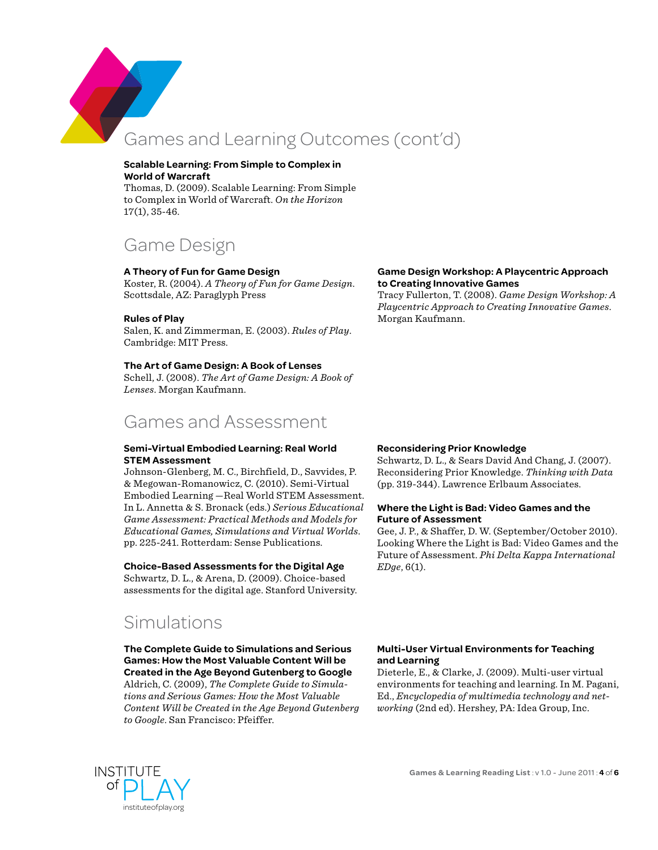

# Games and Learning Outcomes (cont'd)

#### **Scalable Learning: From Simple to Complex in World of Warcraft**

Thomas, D. (2009). Scalable Learning: From Simple to Complex in World of Warcraft. *On the Horizon* 17(1), 35-46.

## Game Design

#### **A Theory of Fun for Game Design**

Koster, R. (2004). *A Theory of Fun for Game Design*. Scottsdale, AZ: Paraglyph Press

#### **Rules of Play**

Salen, K. and Zimmerman, E. (2003). *Rules of Play*. Cambridge: MIT Press.

#### **The Art of Game Design: A Book of Lenses**

Schell, J. (2008). *The Art of Game Design: A Book of Lenses*. Morgan Kaufmann.

## Games and Assessment

#### **Semi-Virtual Embodied Learning: Real World STEM Assessment**

Johnson-Glenberg, M. C., Birchfield, D., Savvides, P. & Megowan-Romanowicz, C. (2010). Semi-Virtual Embodied Learning —Real World STEM Assessment. In L. Annetta & S. Bronack (eds.) *Serious Educational Game Assessment: Practical Methods and Models for Educational Games, Simulations and Virtual Worlds*. pp. 225-241. Rotterdam: Sense Publications.

#### **Choice-Based Assessments for the Digital Age**

Schwartz, D. L., & Arena, D. (2009). Choice-based assessments for the digital age. Stanford University.

## Simulations

**The Complete Guide to Simulations and Serious Games: How the Most Valuable Content Will be Created in the Age Beyond Gutenberg to Google**

Aldrich, C. (2009), *The Complete Guide to Simulations and Serious Games: How the Most Valuable Content Will be Created in the Age Beyond Gutenberg to Google*. San Francisco: Pfeiffer.

#### **Game Design Workshop: A Playcentric Approach to Creating Innovative Games**

Tracy Fullerton, T. (2008). *Game Design Workshop: A Playcentric Approach to Creating Innovative Games*. Morgan Kaufmann.

#### **Reconsidering Prior Knowledge**

Schwartz, D. L., & Sears David And Chang, J. (2007). Reconsidering Prior Knowledge. *Thinking with Data* (pp. 319-344). Lawrence Erlbaum Associates.

#### **Where the Light is Bad: Video Games and the Future of Assessment**

Gee, J. P., & Shaffer, D. W. (September/October 2010). Looking Where the Light is Bad: Video Games and the Future of Assessment. *Phi Delta Kappa International EDge*, 6(1).

#### **Multi-User Virtual Environments for Teaching and Learning**

Dieterle, E., & Clarke, J. (2009). Multi-user virtual environments for teaching and learning. In M. Pagani, Ed., *Encyclopedia of multimedia technology and networking* (2nd ed). Hershey, PA: Idea Group, Inc.

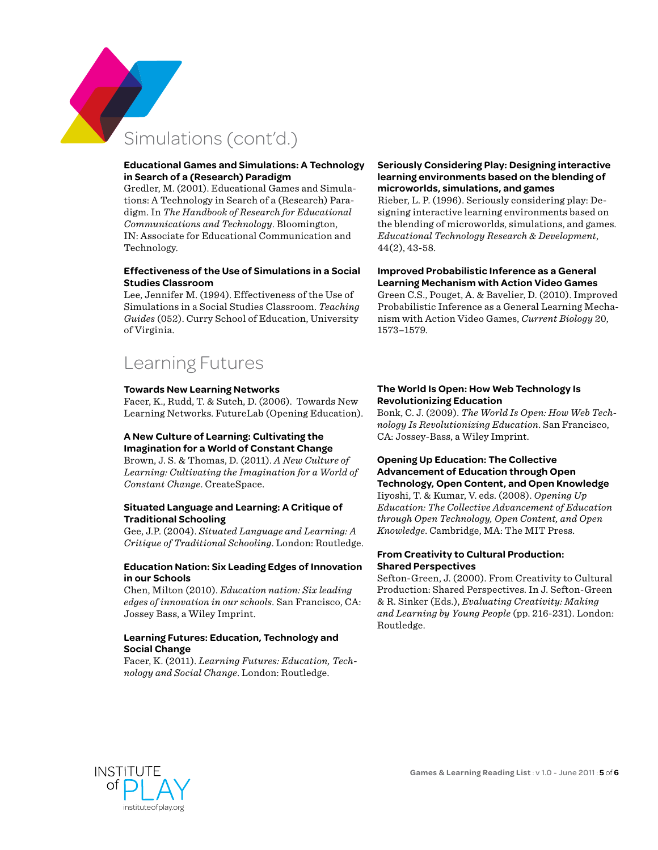

# Simulations (cont'd.)

#### **Educational Games and Simulations: A Technology in Search of a (Research) Paradigm**

Gredler, M. (2001). Educational Games and Simulations: A Technology in Search of a (Research) Paradigm. In *The Handbook of Research for Educational Communications and Technology*. Bloomington, IN: Associate for Educational Communication and Technology.

#### **Effectiveness of the Use of Simulations in a Social Studies Classroom**

Lee, Jennifer M. (1994). Effectiveness of the Use of Simulations in a Social Studies Classroom. *Teaching Guides* (052). Curry School of Education, University of Virginia.

## Learning Futures

#### **Towards New Learning Networks**

Facer, K., Rudd, T. & Sutch, D. (2006). Towards New Learning Networks. FutureLab (Opening Education).

#### **A New Culture of Learning: Cultivating the Imagination for a World of Constant Change**

Brown, J. S. & Thomas, D. (2011). *A New Culture of Learning: Cultivating the Imagination for a World of Constant Change*. CreateSpace.

#### **Situated Language and Learning: A Critique of Traditional Schooling**

Gee, J.P. (2004). *Situated Language and Learning: A Critique of Traditional Schooling*. London: Routledge.

#### **Education Nation: Six Leading Edges of Innovation in our Schools**

Chen, Milton (2010). *Education nation: Six leading edges of innovation in our schools*. San Francisco, CA: Jossey Bass, a Wiley Imprint.

### **Learning Futures: Education, Technology and Social Change**

Facer, K. (2011). *Learning Futures: Education, Technology and Social Change*. London: Routledge.

#### **Seriously Considering Play: Designing interactive learning environments based on the blending of microworlds, simulations, and games**

Rieber, L. P. (1996). Seriously considering play: Designing interactive learning environments based on the blending of microworlds, simulations, and games. *Educational Technology Research & Development*, 44(2), 43-58.

#### **Improved Probabilistic Inference as a General Learning Mechanism with Action Video Games**

Green C.S., Pouget, A. & Bavelier, D. (2010). Improved Probabilistic Inference as a General Learning Mechanism with Action Video Games, *Current Biology* 20, 1573–1579.

#### **The World Is Open: How Web Technology Is Revolutionizing Education**

Bonk, C. J. (2009). *The World Is Open: How Web Technology Is Revolutionizing Education*. San Francisco, CA: Jossey-Bass, a Wiley Imprint.

#### **Opening Up Education: The Collective Advancement of Education through Open Technology, Open Content, and Open Knowledge**

Iiyoshi, T. & Kumar, V. eds. (2008). *Opening Up Education: The Collective Advancement of Education through Open Technology, Open Content, and Open Knowledge*. Cambridge, MA: The MIT Press.

#### **From Creativity to Cultural Production: Shared Perspectives**

Sefton-Green, J. (2000). From Creativity to Cultural Production: Shared Perspectives. In J. Sefton-Green & R. Sinker (Eds.), *Evaluating Creativity: Making and Learning by Young People* (pp. 216-231). London: Routledge.